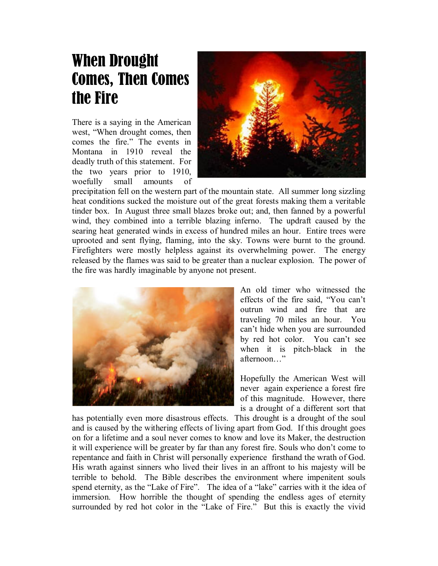## When Drought Comes, Then Comes the Fire

There is a saying in the American west, "When drought comes, then comes the fire." The events in Montana in 1910 reveal the deadly truth of this statement. For the two years prior to 1910, woefully small amounts of



precipitation fell on the western part of the mountain state. All summer long sizzling heat conditions sucked the moisture out of the great forests making them a veritable tinder box. In August three small blazes broke out; and, then fanned by a powerful wind, they combined into a terrible blazing inferno. The updraft caused by the searing heat generated winds in excess of hundred miles an hour. Entire trees were uprooted and sent flying, flaming, into the sky. Towns were burnt to the ground. Firefighters were mostly helpless against its overwhelming power. The energy released by the flames was said to be greater than a nuclear explosion. The power of the fire was hardly imaginable by anyone not present.



An old timer who witnessed the effects of the fire said, "You can't outrun wind and fire that are traveling 70 miles an hour. You can't hide when you are surrounded by red hot color. You can't see when it is pitch-black in the afternoon "

Hopefully the American West will never again experience a forest fire of this magnitude. However, there is a drought of a different sort that

has potentially even more disastrous effects. This drought is a drought of the soul and is caused by the withering effects of living apart from God. If this drought goes on for a lifetime and a soul never comes to know and love its Maker, the destruction it will experience will be greater by far than any forest fire. Souls who don't come to repentance and faith in Christ will personally experience firsthand the wrath of God. His wrath against sinners who lived their lives in an affront to his majesty will be terrible to behold. The Bible describes the environment where impenitent souls spend eternity, as the "Lake of Fire". The idea of a "lake" carries with it the idea of immersion. How horrible the thought of spending the endless ages of eternity surrounded by red hot color in the "Lake of Fire." But this is exactly the vivid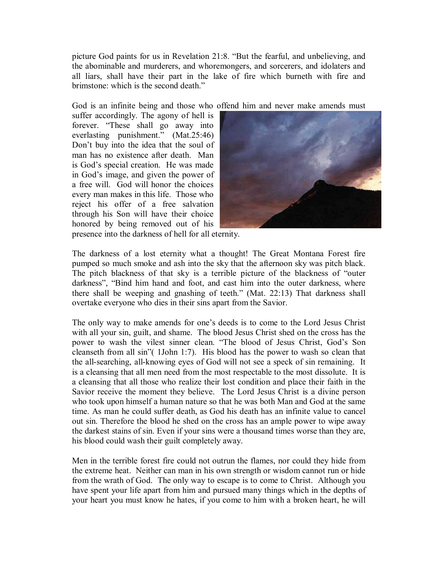picture God paints for us in Revelation 21:8. "But the fearful, and unbelieving, and the abominable and murderers, and whoremongers, and sorcerers, and idolaters and all liars, shall have their part in the lake of fire which burneth with fire and brimstone: which is the second death."

God is an infinite being and those who offend him and never make amends must

suffer accordingly. The agony of hell is forever. "These shall go away into everlasting punishment." (Mat.25:46) Don't buy into the idea that the soul of man has no existence after death. Man is God's special creation. He was made in God's image, and given the power of a free will. God will honor the choices every man makes in this life. Those who reject his offer of a free salvation through his Son will have their choice honored by being removed out of his



presence into the darkness of hell for all eternity.

The darkness of a lost eternity what a thought! The Great Montana Forest fire pumped so much smoke and ash into the sky that the afternoon sky was pitch black. The pitch blackness of that sky is a terrible picture of the blackness of "outer darkness", "Bind him hand and foot, and cast him into the outer darkness, where there shall be weeping and gnashing of teeth." (Mat. 22:13) That darkness shall overtake everyone who dies in their sins apart from the Savior.

The only way to make amends for one's deeds is to come to the Lord Jesus Christ with all your sin, guilt, and shame. The blood Jesus Christ shed on the cross has the power to wash the vilest sinner clean. "The blood of Jesus Christ, God's Son cleanseth from all sin"( 1John 1:7). His blood has the power to wash so clean that the all-searching, all-knowing eyes of God will not see a speck of sin remaining. It is a cleansing that all men need from the most respectable to the most dissolute. It is a cleansing that all those who realize their lost condition and place their faith in the Savior receive the moment they believe. The Lord Jesus Christ is a divine person who took upon himself a human nature so that he was both Man and God at the same time. As man he could suffer death, as God his death has an infinite value to cancel out sin. Therefore the blood he shed on the cross has an ample power to wipe away the darkest stains of sin. Even if your sins were a thousand times worse than they are, his blood could wash their guilt completely away.

Men in the terrible forest fire could not outrun the flames, nor could they hide from the extreme heat. Neither can man in his own strength or wisdom cannot run or hide from the wrath of God. The only way to escape is to come to Christ. Although you have spent your life apart from him and pursued many things which in the depths of your heart you must know he hates, if you come to him with a broken heart, he will